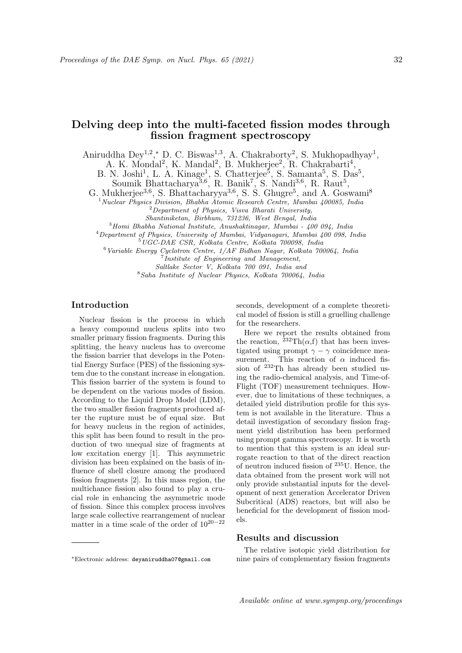# Delving deep into the multi-faceted fission modes through fission fragment spectroscopy

Aniruddha Dey<sup>1,2</sup>,\* D. C. Biswas<sup>1,3</sup>, A. Chakraborty<sup>2</sup>, S. Mukhopadhyay<sup>1</sup>,

A. K. Mondal<sup>2</sup>, K. Mandal<sup>2</sup>, B. Mukherjee<sup>2</sup>, R. Chakrabarti<sup>4</sup>,

B. N. Joshi<sup>1</sup>, L. A. Kinage<sup>1</sup>, S. Chatterjee<sup>5</sup>, S. Samanta<sup>5</sup>, S. Das<sup>5</sup>,

Soumik Bhattacharya<sup>3,6</sup>, R. Banik<sup>7</sup>, S. Nandi<sup>3,6</sup>, R. Raut<sup>5</sup>,

G. Mukherjee<sup>3,6</sup>, S. Bhattacharyya<sup>3,6</sup>, S. S. Ghugre<sup>5</sup>, and A. Goswami<sup>8</sup>

 $1$ Nuclear Physics Division, Bhabha Atomic Research Centre, Mumbai 400085, India

 ${}^{2}$ Department of Physics, Visva Bharati University,

Shantiniketan, Birbhum, 731236, West Bengal, India  $3$ Homi Bhabha National Institute, Anushaktinagar, Mumbai - 400 094, India

<sup>4</sup>Department of Physics, University of Mumbai, Vidyanagari, Mumbai 400 098, India

 $5\overline{UGC}\text{-}DAE$  CSR, Kolkata Centre, Kolkata 700098, India

 $6$ Variable Energy Cyclotron Centre,  $1/AF$  Bidhan Nagar, Kolkata 700064, India

<sup>7</sup> Institute of Engineering and Management,

Saltlake Sector V, Kolkata 700 091, India and

<sup>8</sup>Saha Institute of Nuclear Physics, Kolkata 700064, India

## Introduction

Nuclear fission is the process in which a heavy compound nucleus splits into two smaller primary fission fragments. During this splitting, the heavy nucleus has to overcome the fission barrier that develops in the Potential Energy Surface (PES) of the fissioning system due to the constant increase in elongation. This fission barrier of the system is found to be dependent on the various modes of fission. According to the Liquid Drop Model (LDM), the two smaller fission fragments produced after the rupture must be of equal size. But for heavy nucleus in the region of actinides, this split has been found to result in the production of two unequal size of fragments at low excitation energy [1]. This asymmetric division has been explained on the basis of influence of shell closure among the produced fission fragments [2]. In this mass region, the multichance fission also found to play a crucial role in enhancing the asymmetric mode of fission. Since this complex process involves large scale collective rearrangement of nuclear matter in a time scale of the order of 1020−<sup>22</sup>

seconds, development of a complete theoretical model of fission is still a gruelling challenge for the researchers.

Here we report the results obtained from the reaction,  ${}^{232}\mathrm{Th}(\alpha,\mathrm{f})$  that has been investigated using prompt  $\gamma - \gamma$  coincidence measurement. This reaction of  $\alpha$  induced fission of <sup>232</sup>Th has already been studied using the radio-chemical analysis, and Time-of-Flight (TOF) measurement techniques. However, due to limitations of these techniques, a detailed yield distribution profile for this system is not available in the literature. Thus a detail investigation of secondary fission fragment yield distribution has been performed using prompt gamma spectroscopy. It is worth to mention that this system is an ideal surrogate reaction to that of the direct reaction of neutron induced fission of <sup>235</sup>U. Hence, the data obtained from the present work will not only provide substantial inputs for the development of next generation Accelerator Driven Subcritical (ADS) reactors, but will also be beneficial for the development of fission models.

#### Results and discussion

<sup>∗</sup>Electronic address: deyaniruddha07@gmail.com

The relative isotopic yield distribution for nine pairs of complementary fission fragments